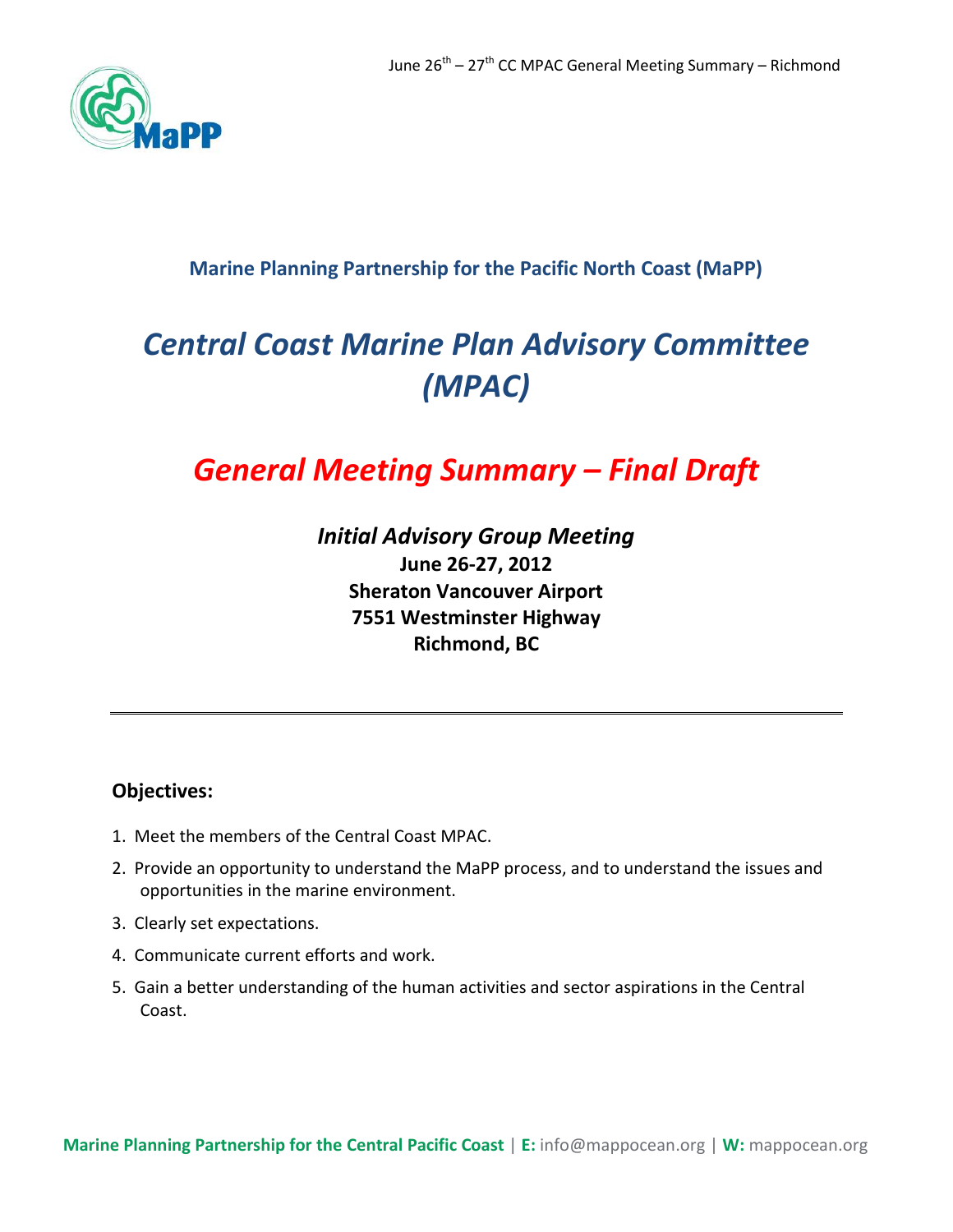

# **Marine Planning Partnership for the Pacific North Coast (MaPP)**

# *Central Coast Marine Plan Advisory Committee (MPAC)*

# *General Meeting Summary – Final Draft*

*Initial Advisory Group Meeting*  **June 26-27, 2012 Sheraton Vancouver Airport 7551 Westminster Highway Richmond, BC**

## **Objectives:**

- 1. Meet the members of the Central Coast MPAC.
- 2. Provide an opportunity to understand the MaPP process, and to understand the issues and opportunities in the marine environment.
- 3. Clearly set expectations.
- 4. Communicate current efforts and work.
- 5. Gain a better understanding of the human activities and sector aspirations in the Central Coast.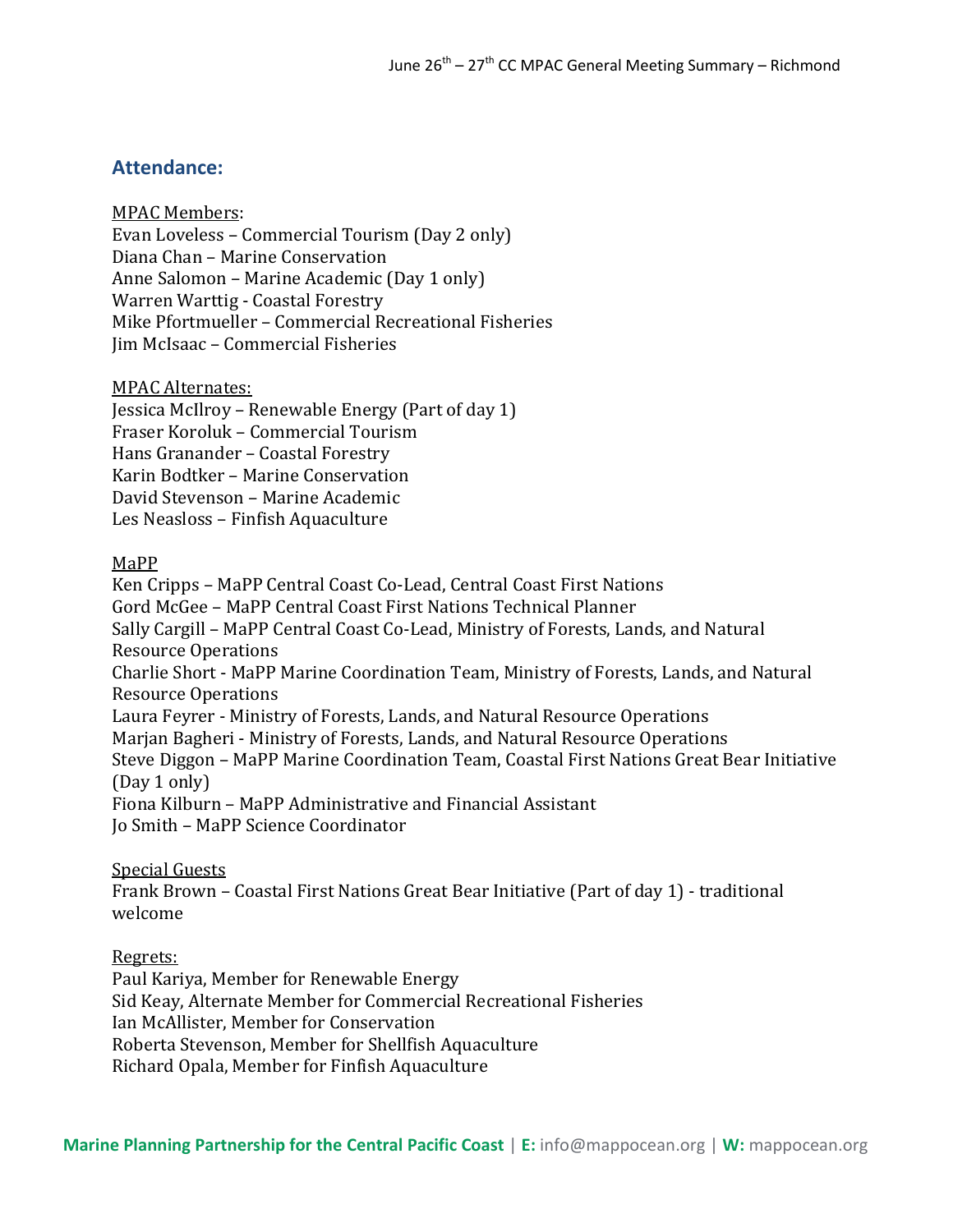## **Attendance:**

MPAC Members:

Evan Loveless – Commercial Tourism (Day 2 only) Diana Chan – Marine Conservation Anne Salomon – Marine Academic (Day 1 only) Warren Warttig - Coastal Forestry Mike Pfortmueller – Commercial Recreational Fisheries Jim McIsaac – Commercial Fisheries

MPAC Alternates:

Jessica McIlroy – Renewable Energy (Part of day 1) Fraser Koroluk – Commercial Tourism Hans Granander – Coastal Forestry Karin Bodtker – Marine Conservation David Stevenson – Marine Academic Les Neasloss – Finfish Aquaculture

## MaPP

Ken Cripps – MaPP Central Coast Co-Lead, Central Coast First Nations Gord McGee – MaPP Central Coast First Nations Technical Planner Sally Cargill – MaPP Central Coast Co-Lead, Ministry of Forests, Lands, and Natural Resource Operations Charlie Short - MaPP Marine Coordination Team, Ministry of Forests, Lands, and Natural Resource Operations Laura Feyrer - Ministry of Forests, Lands, and Natural Resource Operations Marjan Bagheri - Ministry of Forests, Lands, and Natural Resource Operations Steve Diggon – MaPP Marine Coordination Team, Coastal First Nations Great Bear Initiative (Day 1 only) Fiona Kilburn – MaPP Administrative and Financial Assistant Jo Smith – MaPP Science Coordinator

Special Guests

Frank Brown – Coastal First Nations Great Bear Initiative (Part of day 1) - traditional welcome

Regrets: Paul Kariya, Member for Renewable Energy Sid Keay, Alternate Member for Commercial Recreational Fisheries Ian McAllister, Member for Conservation Roberta Stevenson, Member for Shellfish Aquaculture Richard Opala, Member for Finfish Aquaculture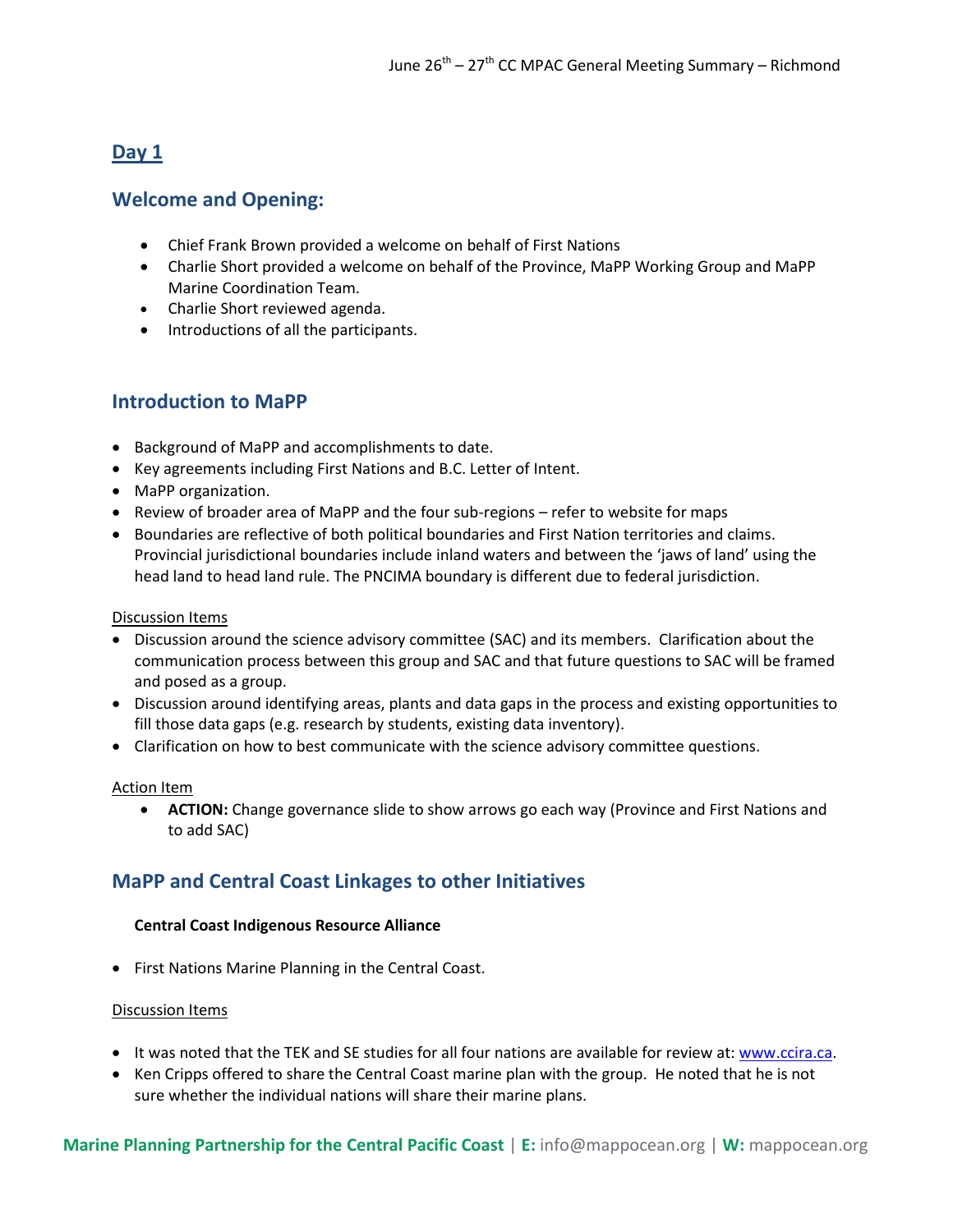# **Day 1**

## **Welcome and Opening:**

- Chief Frank Brown provided a welcome on behalf of First Nations
- Charlie Short provided a welcome on behalf of the Province, MaPP Working Group and MaPP Marine Coordination Team.
- Charlie Short reviewed agenda.
- Introductions of all the participants.

## **Introduction to MaPP**

- Background of MaPP and accomplishments to date.
- Key agreements including First Nations and B.C. Letter of Intent.
- MaPP organization.
- Review of broader area of MaPP and the four sub-regions refer to website for maps
- Boundaries are reflective of both political boundaries and First Nation territories and claims. Provincial jurisdictional boundaries include inland waters and between the 'jaws of land' using the head land to head land rule. The PNCIMA boundary is different due to federal jurisdiction.

## Discussion Items

- Discussion around the science advisory committee (SAC) and its members. Clarification about the communication process between this group and SAC and that future questions to SAC will be framed and posed as a group.
- Discussion around identifying areas, plants and data gaps in the process and existing opportunities to fill those data gaps (e.g. research by students, existing data inventory).
- Clarification on how to best communicate with the science advisory committee questions.

## Action Item

 **ACTION:** Change governance slide to show arrows go each way (Province and First Nations and to add SAC)

## **MaPP and Central Coast Linkages to other Initiatives**

## **Central Coast Indigenous Resource Alliance**

• First Nations Marine Planning in the Central Coast.

## Discussion Items

- It was noted that the TEK and SE studies for all four nations are available for review at: [www.ccira.ca.](http://www.ccira.ca/)
- Ken Cripps offered to share the Central Coast marine plan with the group. He noted that he is not sure whether the individual nations will share their marine plans.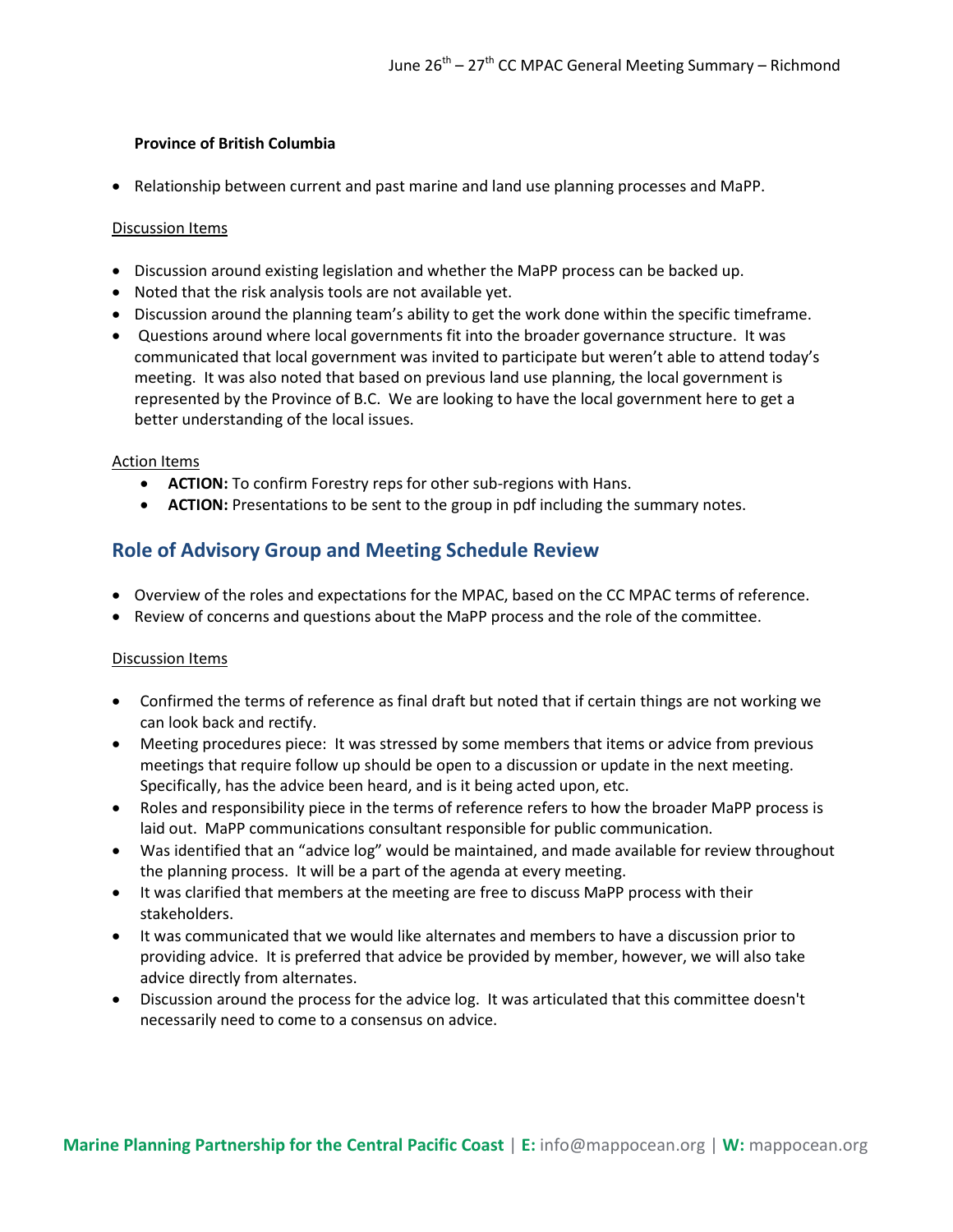## **Province of British Columbia**

• Relationship between current and past marine and land use planning processes and MaPP.

## Discussion Items

- Discussion around existing legislation and whether the MaPP process can be backed up.
- Noted that the risk analysis tools are not available yet.
- Discussion around the planning team's ability to get the work done within the specific timeframe.
- Questions around where local governments fit into the broader governance structure. It was communicated that local government was invited to participate but weren't able to attend today's meeting. It was also noted that based on previous land use planning, the local government is represented by the Province of B.C. We are looking to have the local government here to get a better understanding of the local issues.

#### Action Items

- **ACTION:** To confirm Forestry reps for other sub-regions with Hans.
- **ACTION:** Presentations to be sent to the group in pdf including the summary notes.

## **Role of Advisory Group and Meeting Schedule Review**

- Overview of the roles and expectations for the MPAC, based on the CC MPAC terms of reference.
- Review of concerns and questions about the MaPP process and the role of the committee.

## Discussion Items

- Confirmed the terms of reference as final draft but noted that if certain things are not working we can look back and rectify.
- Meeting procedures piece: It was stressed by some members that items or advice from previous meetings that require follow up should be open to a discussion or update in the next meeting. Specifically, has the advice been heard, and is it being acted upon, etc.
- Roles and responsibility piece in the terms of reference refers to how the broader MaPP process is laid out. MaPP communications consultant responsible for public communication.
- Was identified that an "advice log" would be maintained, and made available for review throughout the planning process. It will be a part of the agenda at every meeting.
- It was clarified that members at the meeting are free to discuss MaPP process with their stakeholders.
- It was communicated that we would like alternates and members to have a discussion prior to providing advice. It is preferred that advice be provided by member, however, we will also take advice directly from alternates.
- Discussion around the process for the advice log. It was articulated that this committee doesn't necessarily need to come to a consensus on advice.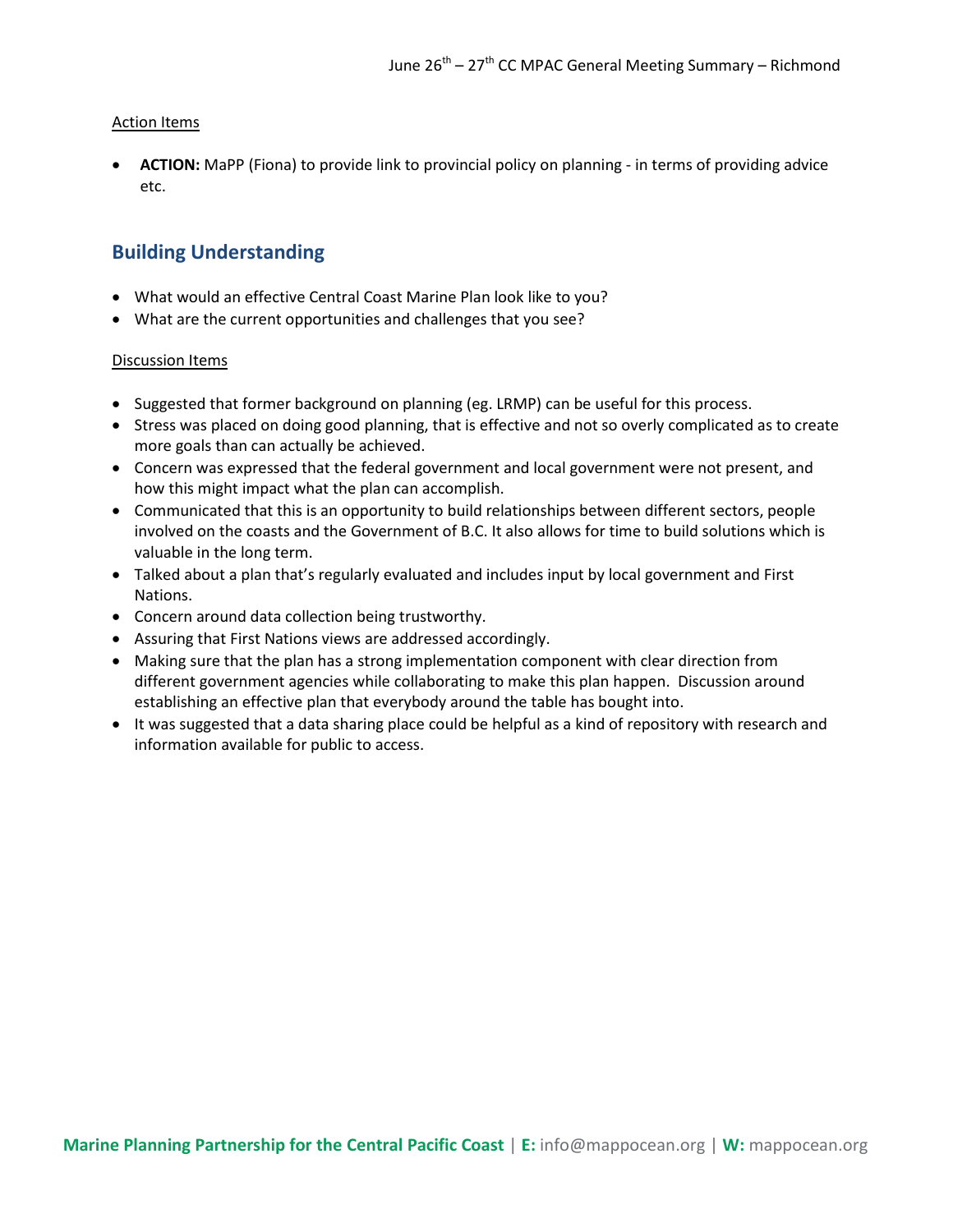## Action Items

 **ACTION:** MaPP (Fiona) to provide link to provincial policy on planning - in terms of providing advice etc.

## **Building Understanding**

- What would an effective Central Coast Marine Plan look like to you?
- What are the current opportunities and challenges that you see?

## Discussion Items

- Suggested that former background on planning (eg. LRMP) can be useful for this process.
- Stress was placed on doing good planning, that is effective and not so overly complicated as to create more goals than can actually be achieved.
- Concern was expressed that the federal government and local government were not present, and how this might impact what the plan can accomplish.
- Communicated that this is an opportunity to build relationships between different sectors, people involved on the coasts and the Government of B.C. It also allows for time to build solutions which is valuable in the long term.
- Talked about a plan that's regularly evaluated and includes input by local government and First Nations.
- Concern around data collection being trustworthy.
- Assuring that First Nations views are addressed accordingly.
- Making sure that the plan has a strong implementation component with clear direction from different government agencies while collaborating to make this plan happen. Discussion around establishing an effective plan that everybody around the table has bought into.
- It was suggested that a data sharing place could be helpful as a kind of repository with research and information available for public to access.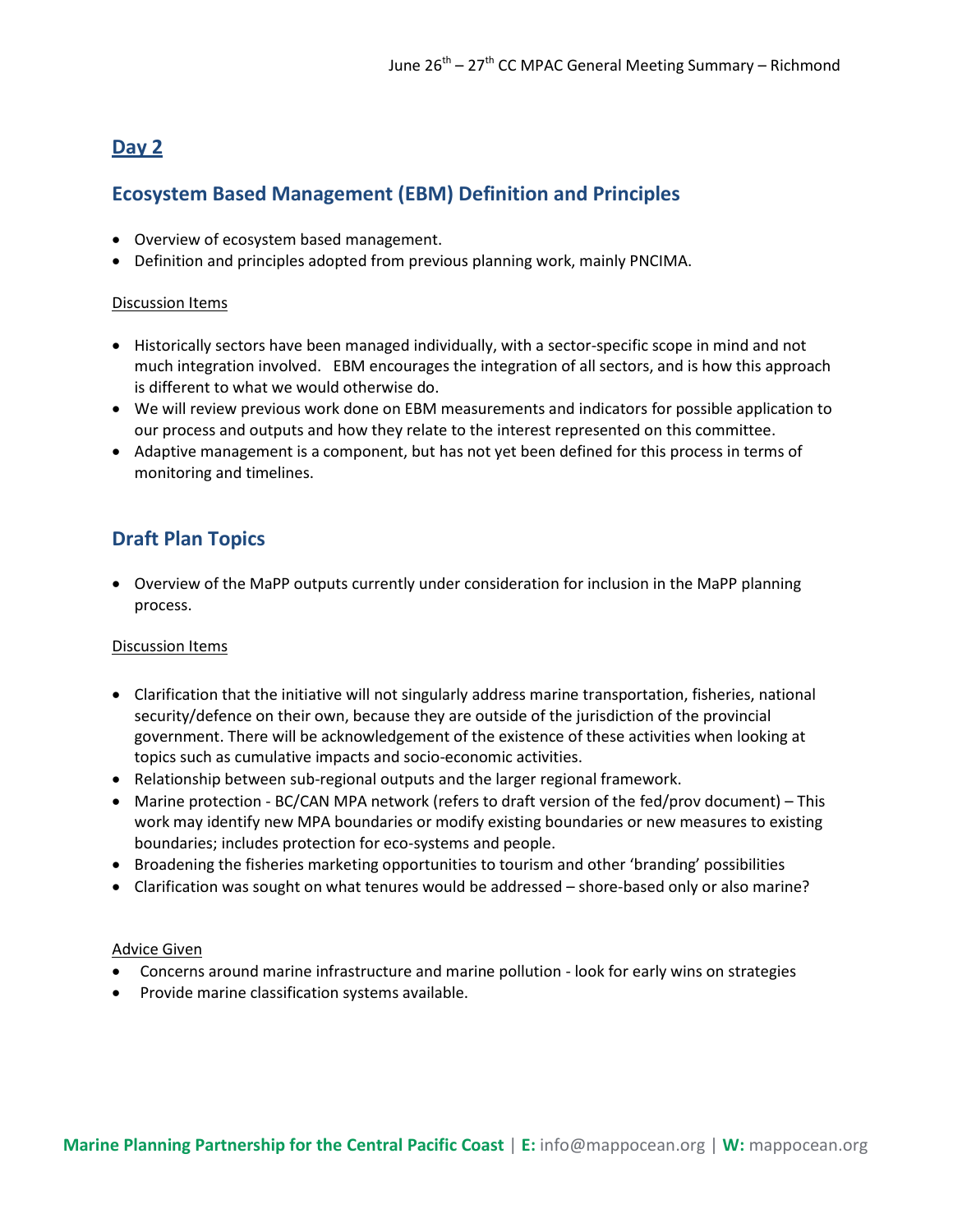# **Day 2**

# **Ecosystem Based Management (EBM) Definition and Principles**

- Overview of ecosystem based management.
- Definition and principles adopted from previous planning work, mainly PNCIMA.

## Discussion Items

- Historically sectors have been managed individually, with a sector-specific scope in mind and not much integration involved. EBM encourages the integration of all sectors, and is how this approach is different to what we would otherwise do.
- We will review previous work done on EBM measurements and indicators for possible application to our process and outputs and how they relate to the interest represented on this committee.
- Adaptive management is a component, but has not yet been defined for this process in terms of monitoring and timelines.

# **Draft Plan Topics**

 Overview of the MaPP outputs currently under consideration for inclusion in the MaPP planning process.

## Discussion Items

- Clarification that the initiative will not singularly address marine transportation, fisheries, national security/defence on their own, because they are outside of the jurisdiction of the provincial government. There will be acknowledgement of the existence of these activities when looking at topics such as cumulative impacts and socio-economic activities.
- Relationship between sub-regional outputs and the larger regional framework.
- Marine protection BC/CAN MPA network (refers to draft version of the fed/prov document) This work may identify new MPA boundaries or modify existing boundaries or new measures to existing boundaries; includes protection for eco-systems and people.
- Broadening the fisheries marketing opportunities to tourism and other 'branding' possibilities
- Clarification was sought on what tenures would be addressed shore-based only or also marine?

## Advice Given

- Concerns around marine infrastructure and marine pollution look for early wins on strategies
- Provide marine classification systems available.